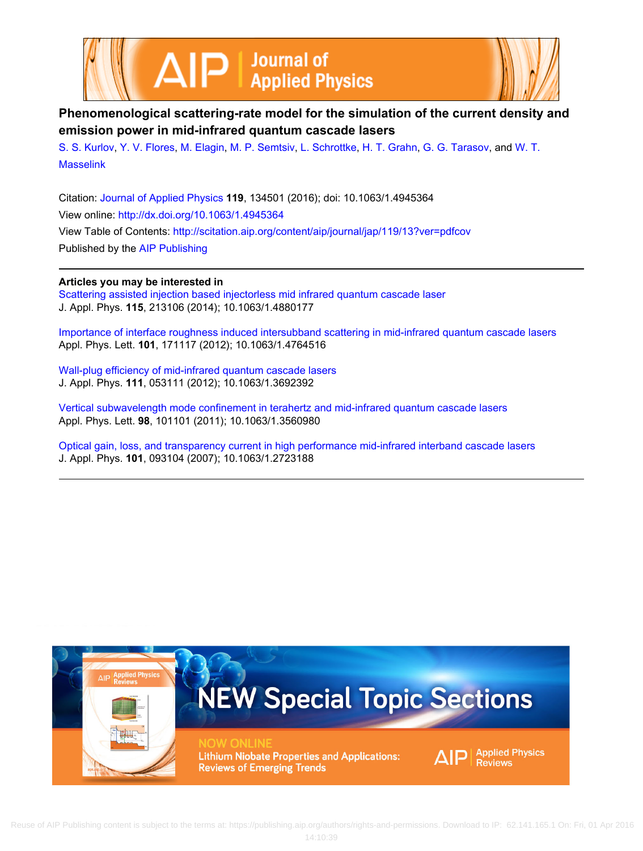



# **Phenomenological scattering-rate model for the simulation of the current density and emission power in mid-infrared quantum cascade lasers**

[S. S. Kurlov,](http://scitation.aip.org/search?value1=S.+S.+Kurlov&option1=author) [Y. V. Flores](http://scitation.aip.org/search?value1=Y.+V.+Flores&option1=author), [M. Elagin,](http://scitation.aip.org/search?value1=M.+Elagin&option1=author) [M. P. Semtsiv,](http://scitation.aip.org/search?value1=M.+P.+Semtsiv&option1=author) [L. Schrottke,](http://scitation.aip.org/search?value1=L.+Schrottke&option1=author) [H. T. Grahn](http://scitation.aip.org/search?value1=H.+T.+Grahn&option1=author), [G. G. Tarasov,](http://scitation.aip.org/search?value1=G.+G.+Tarasov&option1=author) and [W. T.](http://scitation.aip.org/search?value1=W.+T.+Masselink&option1=author) **[Masselink](http://scitation.aip.org/search?value1=W.+T.+Masselink&option1=author)** 

Citation: [Journal of Applied Physics](http://scitation.aip.org/content/aip/journal/jap?ver=pdfcov) **119**, 134501 (2016); doi: 10.1063/1.4945364 View online: <http://dx.doi.org/10.1063/1.4945364> View Table of Contents: <http://scitation.aip.org/content/aip/journal/jap/119/13?ver=pdfcov> Published by the [AIP Publishing](http://scitation.aip.org/content/aip?ver=pdfcov)

## **Articles you may be interested in**

[Scattering assisted injection based injectorless mid infrared quantum cascade laser](http://scitation.aip.org/content/aip/journal/jap/115/21/10.1063/1.4880177?ver=pdfcov) J. Appl. Phys. **115**, 213106 (2014); 10.1063/1.4880177

[Importance of interface roughness induced intersubband scattering in mid-infrared quantum cascade lasers](http://scitation.aip.org/content/aip/journal/apl/101/17/10.1063/1.4764516?ver=pdfcov) Appl. Phys. Lett. **101**, 171117 (2012); 10.1063/1.4764516

[Wall-plug efficiency of mid-infrared quantum cascade lasers](http://scitation.aip.org/content/aip/journal/jap/111/5/10.1063/1.3692392?ver=pdfcov) J. Appl. Phys. **111**, 053111 (2012); 10.1063/1.3692392

[Vertical subwavelength mode confinement in terahertz and mid-infrared quantum cascade lasers](http://scitation.aip.org/content/aip/journal/apl/98/10/10.1063/1.3560980?ver=pdfcov) Appl. Phys. Lett. **98**, 101101 (2011); 10.1063/1.3560980

[Optical gain, loss, and transparency current in high performance mid-infrared interband cascade lasers](http://scitation.aip.org/content/aip/journal/jap/101/9/10.1063/1.2723188?ver=pdfcov) J. Appl. Phys. **101**, 093104 (2007); 10.1063/1.2723188

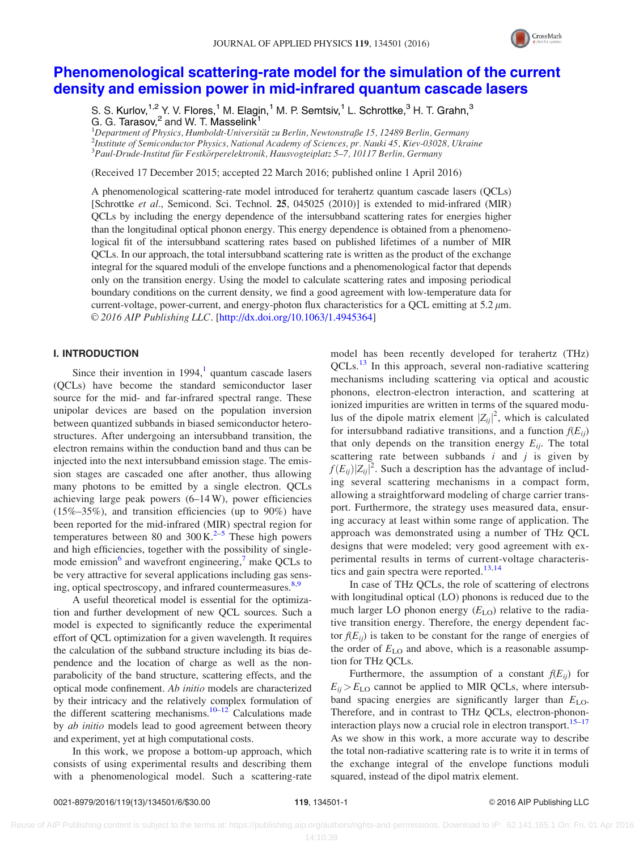

## [Phenomenological scattering-rate model for the simulation of the current](http://dx.doi.org/10.1063/1.4945364) [density and emission power in mid-infrared quantum cascade lasers](http://dx.doi.org/10.1063/1.4945364)

S. S. Kurlov,  $1.2$  Y. V. Flores,  $1$  M. Elagin,  $1$  M. P. Semtsiv,  $1$  L. Schrottke,  $3$  H. T. Grahn,  $3$ G. G. Tarasov,<sup>2</sup> and W. T. Masselink

<sup>1</sup>Department of Physics, Humboldt-Universität zu Berlin, Newtonstraße 15, 12489 Berlin, Germany<br><sup>2</sup>Institute of Samiconductor Physics, National Academy of Sciences, pr. Nauki 45, Kim 03028, Ukra  $^2$ Institute of Semiconductor Physics, National Academy of Sciences, pr. Nauki 45, Kiev-03028, Ukraine  $^3$ Paul-Drude-Institut für Festkörperelektronik, Hausvogteiplatz 5–7, 10117 Berlin, Germany

(Received 17 December 2015; accepted 22 March 2016; published online 1 April 2016)

A phenomenological scattering-rate model introduced for terahertz quantum cascade lasers (QCLs) [Schrottke et al., Semicond. Sci. Technol. 25, 045025 (2010)] is extended to mid-infrared (MIR) QCLs by including the energy dependence of the intersubband scattering rates for energies higher than the longitudinal optical phonon energy. This energy dependence is obtained from a phenomenological fit of the intersubband scattering rates based on published lifetimes of a number of MIR QCLs. In our approach, the total intersubband scattering rate is written as the product of the exchange integral for the squared moduli of the envelope functions and a phenomenological factor that depends only on the transition energy. Using the model to calculate scattering rates and imposing periodical boundary conditions on the current density, we find a good agreement with low-temperature data for current-voltage, power-current, and energy-photon flux characteristics for a QCL emitting at  $5.2 \mu m$ . © 2016 AIP Publishing LLC. [[http://dx.doi.org/10.1063/1.4945364\]](http://dx.doi.org/10.1063/1.4945364)

### I. INTRODUCTION

Since their invention in  $1994$  $1994$ ,<sup>1</sup> quantum cascade lasers (QCLs) have become the standard semiconductor laser source for the mid- and far-infrared spectral range. These unipolar devices are based on the population inversion between quantized subbands in biased semiconductor heterostructures. After undergoing an intersubband transition, the electron remains within the conduction band and thus can be injected into the next intersubband emission stage. The emission stages are cascaded one after another, thus allowing many photons to be emitted by a single electron. QCLs achieving large peak powers (6–14 W), power efficiencies  $(15\% - 35\%)$ , and transition efficiencies (up to 90%) have been reported for the mid-infrared (MIR) spectral region for temperatures between 80 and  $300 \text{ K.}^{2-5}$  These high powers and high efficiencies, together with the possibility of singlemode emission $6$  and wavefront engineering,<sup>7</sup> make QCLs to be very attractive for several applications including gas sens-ing, optical spectroscopy, and infrared countermeasures.<sup>[8](#page-6-0),[9](#page-6-0)</sup>

A useful theoretical model is essential for the optimization and further development of new QCL sources. Such a model is expected to significantly reduce the experimental effort of QCL optimization for a given wavelength. It requires the calculation of the subband structure including its bias dependence and the location of charge as well as the nonparabolicity of the band structure, scattering effects, and the optical mode confinement. Ab initio models are characterized by their intricacy and the relatively complex formulation of the different scattering mechanisms.<sup>10–12</sup> Calculations made by *ab initio* models lead to good agreement between theory and experiment, yet at high computational costs.

In this work, we propose a bottom-up approach, which consists of using experimental results and describing them with a phenomenological model. Such a scattering-rate model has been recently developed for terahertz (THz)  $QCLs<sup>13</sup>$  $QCLs<sup>13</sup>$  $QCLs<sup>13</sup>$  In this approach, several non-radiative scattering mechanisms including scattering via optical and acoustic phonons, electron-electron interaction, and scattering at ionized impurities are written in terms of the squared modulus of the dipole matrix element  $|Z_{ij}|^2$ , which is calculated for intersubband radiative transitions, and a function  $f(E_{ii})$ that only depends on the transition energy  $E_{ij}$ . The total scattering rate between subbands  $i$  and  $j$  is given by  $f(E_{ij})|Z_{ij}|^2$ . Such a description has the advantage of including several scattering mechanisms in a compact form, allowing a straightforward modeling of charge carrier transport. Furthermore, the strategy uses measured data, ensuring accuracy at least within some range of application. The approach was demonstrated using a number of THz QCL designs that were modeled; very good agreement with experimental results in terms of current-voltage characteris-tics and gain spectra were reported.<sup>[13,14](#page-6-0)</sup>

In case of THz QCLs, the role of scattering of electrons with longitudinal optical (LO) phonons is reduced due to the much larger LO phonon energy  $(E_{LO})$  relative to the radiative transition energy. Therefore, the energy dependent factor  $f(E_{ij})$  is taken to be constant for the range of energies of the order of  $E_{LO}$  and above, which is a reasonable assumption for THz QCLs.

Furthermore, the assumption of a constant  $f(E_{ii})$  for  $E_{ij}$  >  $E_{\text{LO}}$  cannot be applied to MIR QCLs, where intersubband spacing energies are significantly larger than  $E_{\text{LO}}$ . Therefore, and in contrast to THz QCLs, electron-phononinteraction plays now a crucial role in electron transport.<sup>15–17</sup> As we show in this work, a more accurate way to describe the total non-radiative scattering rate is to write it in terms of the exchange integral of the envelope functions moduli squared, instead of the dipol matrix element.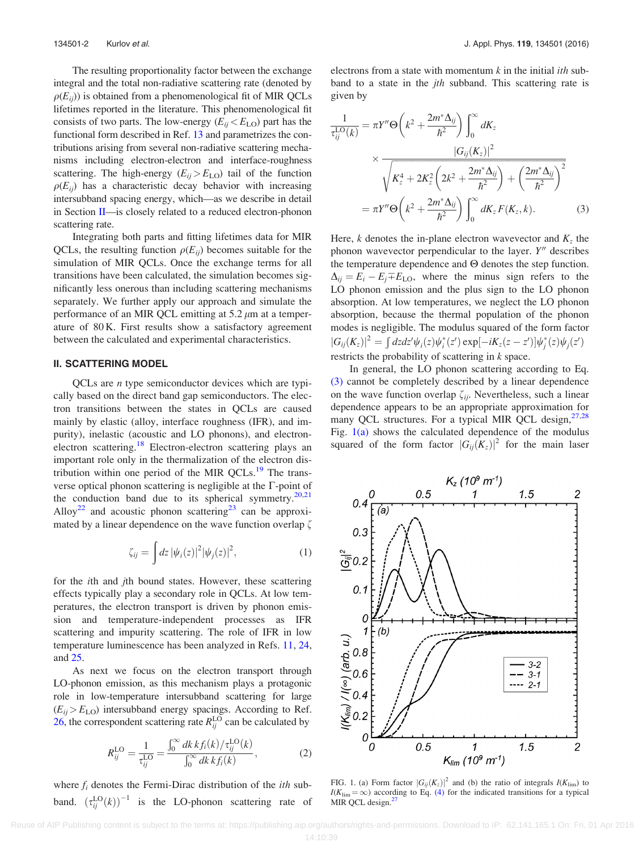<span id="page-2-0"></span>The resulting proportionality factor between the exchange integral and the total non-radiative scattering rate (denoted by  $\rho(E_{ii})$ ) is obtained from a phenomenological fit of MIR QCLs lifetimes reported in the literature. This phenomenological fit consists of two parts. The low-energy  $(E_{ij} < E_{LO})$  part has the functional form described in Ref. [13](#page-6-0) and parametrizes the contributions arising from several non-radiative scattering mechanisms including electron-electron and interface-roughness scattering. The high-energy  $(E_{ij} > E_{\text{LO}})$  tail of the function  $\rho(E_{ii})$  has a characteristic decay behavior with increasing intersubband spacing energy, which—as we describe in detail in Section II—is closely related to a reduced electron-phonon scattering rate.

Integrating both parts and fitting lifetimes data for MIR QCLs, the resulting function  $\rho(E_{ii})$  becomes suitable for the simulation of MIR QCLs. Once the exchange terms for all transitions have been calculated, the simulation becomes significantly less onerous than including scattering mechanisms separately. We further apply our approach and simulate the performance of an MIR QCL emitting at  $5.2 \mu m$  at a temperature of 80 K. First results show a satisfactory agreement between the calculated and experimental characteristics.

#### II. SCATTERING MODEL

QCLs are n type semiconductor devices which are typically based on the direct band gap semiconductors. The electron transitions between the states in QCLs are caused mainly by elastic (alloy, interface roughness (IFR), and impurity), inelastic (acoustic and LO phonons), and electronelectron scattering.<sup>18</sup> Electron-electron scattering plays an important role only in the thermalization of the electron dis-tribution within one period of the MIR OCLs.<sup>[19](#page-6-0)</sup> The transverse optical phonon scattering is negligible at the  $\Gamma$ -point of the conduction band due to its spherical symmetry.<sup>[20,21](#page-6-0)</sup> Alloy<sup>[22](#page-6-0)</sup> and acoustic phonon scattering<sup>23</sup> can be approximated by a linear dependence on the wave function overlap  $\zeta$ 

$$
\zeta_{ij} = \int dz \, |\psi_i(z)|^2 |\psi_j(z)|^2,\tag{1}
$$

for the ith and jth bound states. However, these scattering effects typically play a secondary role in QCLs. At low temperatures, the electron transport is driven by phonon emission and temperature-independent processes as IFR scattering and impurity scattering. The role of IFR in low temperature luminescence has been analyzed in Refs. [11](#page-6-0), [24,](#page-6-0) and [25](#page-6-0).

As next we focus on the electron transport through LO-phonon emission, as this mechanism plays a protagonic role in low-temperature intersubband scattering for large  $(E_{ij} > E_{\text{LO}})$  intersubband energy spacings. According to Ref. [26,](#page-6-0) the correspondent scattering rate  $R_{ij}^{\text{LO}}$  can be calculated by

$$
R_{ij}^{\text{LO}} = \frac{1}{\tau_{ij}^{\text{LO}}} = \frac{\int_0^\infty dk \, k f_i(k) / \tau_{ij}^{\text{LO}}(k)}{\int_0^\infty dk \, k f_i(k)},\tag{2}
$$

where  $f_i$  denotes the Fermi-Dirac distribution of the *ith* subband.  $(\tau_{ij}^{LO}(k))^{-1}$  is the LO-phonon scattering rate of electrons from a state with momentum  $k$  in the initial *ith* subband to a state in the *jth* subband. This scattering rate is given by

$$
\frac{1}{\tau_{ij}^{\text{LO}}(k)} = \pi Y'' \Theta\left(k^2 + \frac{2m^*\Delta_{ij}}{\hbar^2}\right) \int_0^\infty dK_z
$$
\n
$$
\times \frac{|G_{ij}(K_z)|^2}{\sqrt{K_z^4 + 2K_z^2 \left(2k^2 + \frac{2m^*\Delta_{ij}}{\hbar^2}\right) + \left(\frac{2m^*\Delta_{ij}}{\hbar^2}\right)^2}}
$$
\n
$$
= \pi Y'' \Theta\left(k^2 + \frac{2m^*\Delta_{ij}}{\hbar^2}\right) \int_0^\infty dK_z F(K_z, k). \tag{3}
$$

Here, k denotes the in-plane electron wavevector and  $K_z$  the phonon wavevector perpendicular to the layer.  $Y''$  describes the temperature dependence and  $\Theta$  denotes the step function.  $\Delta_{ij} = E_i - E_j \pm E_{\text{LO}}$ , where the minus sign refers to the LO phonon emission and the plus sign to the LO phonon absorption. At low temperatures, we neglect the LO phonon absorption, because the thermal population of the phonon modes is negligible. The modulus squared of the form factor  $|G_{ij}(K_z)|^2 = \int dz dz' \psi_i(z) \psi_i^*(z') \exp[-iK_z(z-z')] \psi_j^*(z) \psi_j(z')$ restricts the probability of scattering in k space.

In general, the LO phonon scattering according to Eq. (3) cannot be completely described by a linear dependence on the wave function overlap  $\zeta_{ij}$ . Nevertheless, such a linear dependence appears to be an appropriate approximation for many QCL structures. For a typical MIR QCL design,<sup>27,28</sup> Fig. 1(a) shows the calculated dependence of the modulus squared of the form factor  $|G_{ii}(K_z)|^2$  for the main laser



FIG. 1. (a) Form factor  $|G_{ij}(K_z)|^2$  and (b) the ratio of integrals  $I(K_{\text{lim}})$  to  $I(K_{\text{lim}} = \infty)$  according to Eq. [\(4\)](#page-3-0) for the indicated transitions for a typical MIR QCL design.<sup>[27](#page-6-0)</sup>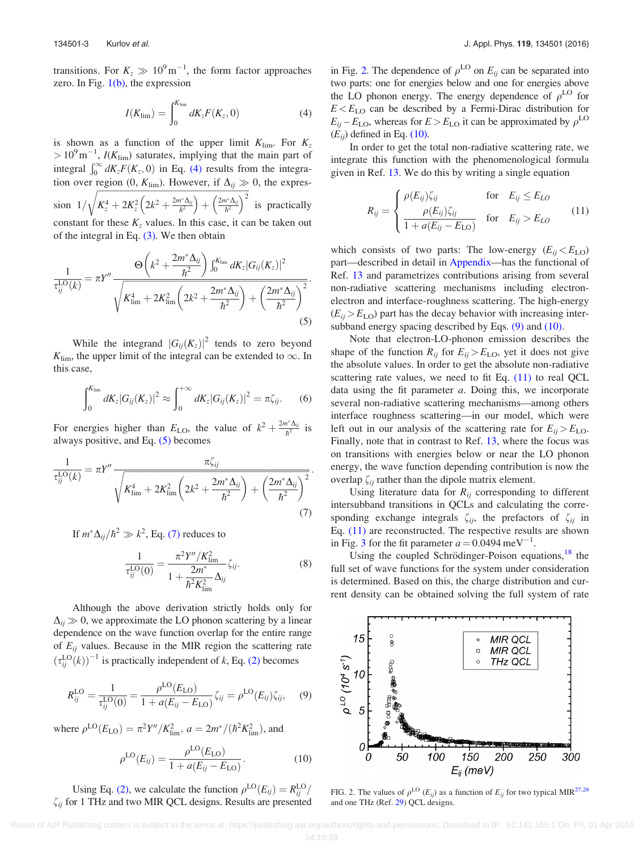<span id="page-3-0"></span>transitions. For  $K_z \gg 10^9 \text{m}^{-1}$ , the form factor approaches zero. In Fig.  $1(b)$ , the expression

$$
I(K_{\lim}) = \int_0^{K_{\lim}} dK_z F(K_z, 0)
$$
 (4)

is shown as a function of the upper limit  $K_{\text{lim}}$ . For  $K_z$  $> 10^{9}$  m<sup>-1</sup>, *I*(K<sub>lim</sub>) saturates, implying that the main part of integral  $\int_0^\infty dK_z F(K_z, 0)$  in Eq. (4) results from the integration over region (0,  $K_{\text{lim}}$ ). However, if  $\Delta_{ij} \gg 0$ , the expression  $1/$  $\frac{f_{\text{ref}}}{f_{\text{ref}}}}$  for  $\frac{f_{\text{ref}}}{f_{\text{ref}}}}$  for  $\frac{f_{\text{ref}}}{f_{\text{ref}}}}$  $K_{z}^{4}+2K_{z}^{2}\left(2k^{2}+\frac{2m^{*}\Delta_{ij}}{\hbar^{2}}\right)+\left(\frac{2m^{*}\Delta_{ij}}{\hbar^{2}}\right)$  $\sqrt{2^{m^*}}$   $\sqrt{2^{m^*}}$   $\sqrt{2^{m^*}}$ is practically constant for these  $K_z$  values. In this case, it can be taken out of the integral in Eq. [\(3\)](#page-2-0). We then obtain

$$
\frac{1}{\tau_{ij}^{\text{LO}}(k)} = \pi Y'' \frac{\Theta\left(k^2 + \frac{2m^* \Delta_{ij}}{\hbar^2}\right) \int_0^{K_{\text{lim}}} dK_z |G_{ij}(K_z)|^2}{\sqrt{K_{\text{lim}}^4 + 2K_{\text{lim}}^2 \left(2k^2 + \frac{2m^* \Delta_{ij}}{\hbar^2}\right) + \left(\frac{2m^* \Delta_{ij}}{\hbar^2}\right)^2}}.
$$
\n(5)

While the integrand  $|G_{ij}(K_z)|^2$  tends to zero beyond  $K_{\text{lim}}$ , the upper limit of the integral can be extended to  $\infty$ . In this case,

$$
\int_0^{K_{\lim}} dK_z |G_{ij}(K_z)|^2 \approx \int_0^{+\infty} dK_z |G_{ij}(K_z)|^2 = \pi \zeta_{ij}.
$$
 (6)

For energies higher than  $E_{\text{LO}}$ , the value of  $k^2 + \frac{2m^*\Delta_{ij}}{\hbar^2}$  is always positive, and Eq. (5) becomes

$$
\frac{1}{\tau_{ij}^{\text{LO}}(k)} = \pi Y'' \frac{\pi \zeta_{ij}}{\sqrt{K_{\text{lim}}^4 + 2K_{\text{lim}}^2 \left(2k^2 + \frac{2m^* \Delta_{ij}}{\hbar^2}\right) + \left(\frac{2m^* \Delta_{ij}}{\hbar^2}\right)^2}}.
$$
\n(7)

If  $m^*\Delta_{ij}/\hbar^2\gg k^2$ , Eq. (7) reduces to

$$
\frac{1}{\tau_{ij}^{\text{LO}}(0)} = \frac{\pi^2 Y'' / K_{\text{lim}}^2}{1 + \frac{2m^*}{\hbar^2 K_{\text{lim}}^2} \Delta_{ij}} \zeta_{ij}.
$$
\n(8)

Although the above derivation strictly holds only for  $\Delta_{ii} \gg 0$ , we approximate the LO phonon scattering by a linear dependence on the wave function overlap for the entire range of  $E_{ij}$  values. Because in the MIR region the scattering rate  $(\tau_{ij}^{LO}(k))^{-1}$  is practically independent of k, Eq. [\(2\)](#page-2-0) becomes

$$
R_{ij}^{\text{LO}} = \frac{1}{\tau_{ij}^{\text{LO}}(0)} = \frac{\rho^{\text{LO}}(E_{\text{LO}})}{1 + a(E_{ij} - E_{\text{LO}})} \zeta_{ij} = \rho^{\text{LO}}(E_{ij}) \zeta_{ij}, \quad (9)
$$

where  $\rho^{\text{LO}}(E_{\text{LO}}) = \pi^2 Y''/K_{\text{lim}}^2$ ,  $a = 2m^*/(\hbar^2 K_{\text{lim}}^2)$ , and

$$
\rho^{\text{LO}}(E_{ij}) = \frac{\rho^{\text{LO}}(E_{\text{LO}})}{1 + a(E_{ij} - E_{\text{LO}})}.
$$
\n(10)

Using Eq. [\(2\)](#page-2-0), we calculate the function  $\rho^{\text{LO}}(E_{ij}) = R_{ij}^{\text{LO}}/R_{ij}^{\text{LO}}$  $\zeta_{ii}$  for 1 THz and two MIR QCL designs. Results are presented in Fig. 2. The dependence of  $\rho^{\text{LO}}$  on  $E_{ij}$  can be separated into two parts: one for energies below and one for energies above the LO phonon energy. The energy dependence of  $\rho^{\text{LO}}$  for  $E < E_{\text{LO}}$  can be described by a Fermi-Dirac distribution for  $E_{ij}$  –  $E_{\text{LO}}$ , whereas for  $E > E_{\text{LO}}$  it can be approximated by  $\rho^{\text{LO}}$  $(E_{ii})$  defined in Eq. (10).

In order to get the total non-radiative scattering rate, we integrate this function with the phenomenological formula given in Ref. [13.](#page-6-0) We do this by writing a single equation

$$
R_{ij} = \begin{cases} \rho(E_{ij})\zeta_{ij} & \text{for} \quad E_{ij} \le E_{LO} \\ \frac{\rho(E_{ij})\zeta_{ij}}{1 + a(E_{ij} - E_{LO})} & \text{for} \quad E_{ij} > E_{LO} \end{cases}
$$
(11)

which consists of two parts: The low-energy  $(E_{ij} < E_{LO})$ part—described in detail in [Appendix—](#page-5-0)has the functional of Ref. [13](#page-6-0) and parametrizes contributions arising from several non-radiative scattering mechanisms including electronelectron and interface-roughness scattering. The high-energy  $(E_{ij} > E_{\text{LO}})$  part has the decay behavior with increasing intersubband energy spacing described by Eqs. (9) and (10).

Note that electron-LO-phonon emission describes the shape of the function  $R_{ij}$  for  $E_{ij} > E_{\text{LO}}$ , yet it does not give the absolute values. In order to get the absolute non-radiative scattering rate values, we need to fit Eq.  $(11)$  to real QCL data using the fit parameter  $a$ . Doing this, we incorporate several non-radiative scattering mechanisms—among others interface roughness scattering—in our model, which were left out in our analysis of the scattering rate for  $E_{ii} > E_{LO}$ . Finally, note that in contrast to Ref. [13,](#page-6-0) where the focus was on transitions with energies below or near the LO phonon energy, the wave function depending contribution is now the overlap  $\zeta_{ii}$  rather than the dipole matrix element.

Using literature data for  $R_{ii}$  corresponding to different intersubband transitions in QCLs and calculating the corresponding exchange integrals  $\zeta_{ij}$ , the prefactors of  $\zeta_{ij}$  in Eq. (11) are reconstructed. The respective results are shown in Fig. [3](#page-4-0) for the fit parameter  $a = 0.0494$  meV<sup>-1</sup>.

Using the coupled Schrödinger-Poison equations, $^{18}$  $^{18}$  $^{18}$  the full set of wave functions for the system under consideration is determined. Based on this, the charge distribution and current density can be obtained solving the full system of rate



FIG. 2. The values of  $\rho^{\text{LO}}$  ( $E_{ij}$ ) as a function of  $E_{ij}$  for two typical MIR<sup>27,[28](#page-6-0)</sup> and one THz (Ref. [29](#page-6-0)) QCL designs.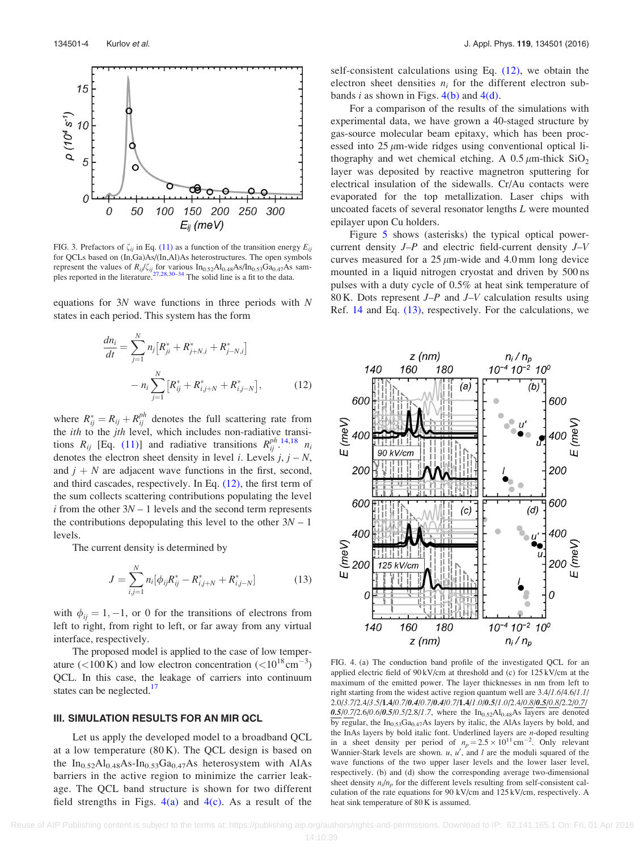<span id="page-4-0"></span>

FIG. 3. Prefactors of  $\zeta_{ij}$  in Eq. [\(11\)](#page-3-0) as a function of the transition energy  $E_{ij}$ for QCLs based on (In,Ga)As/(In,Al)As heterostructures. The open symbols represent the values of  $R_{ij}/\zeta_{ij}$  for various  $In_{0.52}Al_{0.48}As/In_{0.53}Ga_{0.47}As$  sam-<br>ples reported in the literature.<sup>[27,28](#page-6-0),[30–34](#page-6-0)</sup> The solid line is a fit to the data.

equations for 3N wave functions in three periods with N states in each period. This system has the form

$$
\frac{dn_i}{dt} = \sum_{j=1}^{N} n_j [R_{ji}^* + R_{j+N,i}^* + R_{j-N,i}^*]
$$

$$
- n_i \sum_{j=1}^{N} [R_{ij}^* + R_{i,j+N}^* + R_{i,j-N}^*], \qquad (12)
$$

where  $R_{ij}^* = R_{ij} + R_{ij}^{ph}$  denotes the full scattering rate from the *ith* to the *jth* level, which includes non-radiative transitions  $R_{ij}$  [Eq. [\(11\)](#page-3-0)] and radiative transitions  $R_{ij}^{ph}$  [14,18](#page-6-0)  $n_i$ denotes the electron sheet density in level *i*. Levels  $j, j - N$ , and  $j + N$  are adjacent wave functions in the first, second, and third cascades, respectively. In Eq. (12), the first term of the sum collects scattering contributions populating the level  $i$  from the other  $3N - 1$  levels and the second term represents the contributions depopulating this level to the other  $3N - 1$ levels.

The current density is determined by

$$
J = \sum_{i,j=1}^{N} n_i [\phi_{ij} R_{ij}^* - R_{i,j+N}^* + R_{i,j-N}^*]
$$
 (13)

with  $\phi_{ij} = 1, -1$ , or 0 for the transitions of electrons from left to right, from right to left, or far away from any virtual interface, respectively.

The proposed model is applied to the case of low temperature (<100 K) and low electron concentration (<10<sup>18</sup> cm<sup>-3</sup>) QCL. In this case, the leakage of carriers into continuum states can be neglected.<sup>17</sup>

#### III. SIMULATION RESULTS FOR AN MIR QCL

Let us apply the developed model to a broadband QCL at a low temperature  $(80 \text{ K})$ . The QCL design is based on the  $In_{0.52}Al_{0.48}As-In_{0.53}Ga_{0.47}As$  heterosystem with AlAs barriers in the active region to minimize the carrier leakage. The QCL band structure is shown for two different field strengths in Figs.  $4(a)$  and  $4(c)$ . As a result of the self-consistent calculations using Eq. (12), we obtain the electron sheet densities  $n_i$  for the different electron subbands *i* as shown in Figs.  $4(b)$  and  $4(d)$ .

For a comparison of the results of the simulations with experimental data, we have grown a 40-staged structure by gas-source molecular beam epitaxy, which has been processed into  $25 \mu m$ -wide ridges using conventional optical lithography and wet chemical etching. A  $0.5 \mu$ m-thick SiO<sub>2</sub> layer was deposited by reactive magnetron sputtering for electrical insulation of the sidewalls. Cr/Au contacts were evaporated for the top metallization. Laser chips with uncoated facets of several resonator lengths L were mounted epilayer upon Cu holders.

Figure [5](#page-5-0) shows (asterisks) the typical optical powercurrent density J–P and electric field-current density J–V curves measured for a  $25 \mu m$ -wide and 4.0 mm long device mounted in a liquid nitrogen cryostat and driven by 500 ns pulses with a duty cycle of 0.5% at heat sink temperature of 80 K. Dots represent  $J-P$  and  $J-V$  calculation results using Ref. [14](#page-6-0) and Eq. (13), respectively. For the calculations, we



FIG. 4. (a) The conduction band profile of the investigated QCL for an applied electric field of  $90 \text{kV/cm}$  at threshold and (c) for  $125 \text{kV/cm}$  at the maximum of the emitted power. The layer thicknesses in nm from left to right starting from the widest active region quantum well are 3.4/1.6/4.6/1.1/ 2.0/3.7/2.4/3.5/1.4/0.7/0.4/0.7/0.4/0.7/1.4/1.0/0.5/1.0/2.4/0.8/0.5/0.8/2.2/0.7/  $0.5/0.7/2.6/0.6/0.5/0.5/2.8/1.7$ , where the In<sub>0.52</sub>Al<sub>0.48</sub>As layers are denoted by regular, the  $In<sub>0.53</sub>Ga<sub>0.47</sub>As$  layers by italic, the AlAs layers by bold, and the InAs layers by bold italic font. Underlined layers are  $n$ -doped resulting in a sheet density per period of  $n_p = 2.5 \times 10^{11} \text{ cm}^{-2}$ . Only relevant Wannier-Stark levels are shown.  $u$ ,  $u'$ , and  $l$  are the moduli squared of the wave functions of the two upper laser levels and the lower laser level, respectively. (b) and (d) show the corresponding average two-dimensional sheet density  $n_i/n_p$  for the different levels resulting from self-consistent calculation of the rate equations for 90 kV/cm and 125 kV/cm, respectively. A heat sink temperature of 80 K is assumed.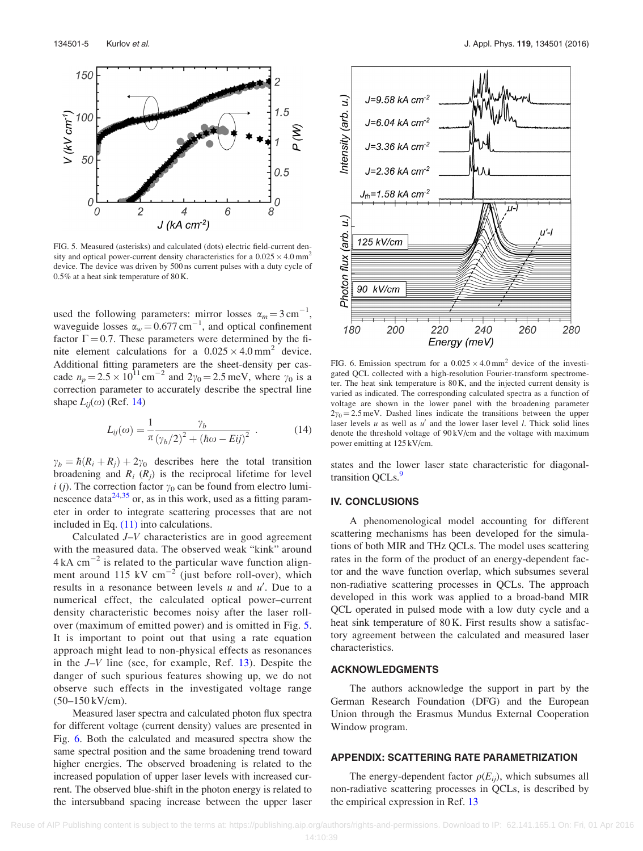<span id="page-5-0"></span>

FIG. 5. Measured (asterisks) and calculated (dots) electric field-current density and optical power-current density characteristics for a  $0.025 \times 4.0 \text{ mm}^2$ device. The device was driven by 500 ns current pulses with a duty cycle of 0.5% at a heat sink temperature of 80 K.

used the following parameters: mirror losses  $\alpha_m = 3 \text{ cm}^{-1}$ , waveguide losses  $\alpha_w = 0.677 \text{ cm}^{-1}$ , and optical confinement factor  $\Gamma = 0.7$ . These parameters were determined by the finite element calculations for a  $0.025 \times 4.0 \text{ mm}^2$  device. Additional fitting parameters are the sheet-density per cascade  $n_p = 2.5 \times 10^{11} \text{ cm}^{-2}$  and  $2\gamma_0 = 2.5 \text{ meV}$ , where  $\gamma_0$  is a correction parameter to accurately describe the spectral line shape  $L_{ii}(\omega)$  (Ref. [14](#page-6-0))

$$
L_{ij}(\omega) = \frac{1}{\pi} \frac{\gamma_b}{(\gamma_b/2)^2 + (\hbar \omega - Eij)^2} \ . \tag{14}
$$

 $\gamma_b = \hbar (R_i + R_j) + 2\gamma_0$  describes here the total transition broadening and  $R_i$  ( $R_j$ ) is the reciprocal lifetime for level i (j). The correction factor  $\gamma_0$  can be found from electro luminescence data $^{24,35}$  $^{24,35}$  $^{24,35}$  $^{24,35}$  $^{24,35}$  or, as in this work, used as a fitting parameter in order to integrate scattering processes that are not included in Eq.  $(11)$  into calculations.

Calculated J–V characteristics are in good agreement with the measured data. The observed weak "kink" around  $4 \text{ kA cm}^{-2}$  is related to the particular wave function alignment around 115 kV  $cm^{-2}$  (just before roll-over), which results in a resonance between levels  $u$  and  $u'$ . Due to a numerical effect, the calculated optical power–current density characteristic becomes noisy after the laser rollover (maximum of emitted power) and is omitted in Fig. 5. It is important to point out that using a rate equation approach might lead to non-physical effects as resonances in the  $J-V$  line (see, for example, Ref. [13](#page-6-0)). Despite the danger of such spurious features showing up, we do not observe such effects in the investigated voltage range (50–150 kV/cm).

Measured laser spectra and calculated photon flux spectra for different voltage (current density) values are presented in Fig. 6. Both the calculated and measured spectra show the same spectral position and the same broadening trend toward higher energies. The observed broadening is related to the increased population of upper laser levels with increased current. The observed blue-shift in the photon energy is related to the intersubband spacing increase between the upper laser



FIG. 6. Emission spectrum for a  $0.025 \times 4.0$  mm<sup>2</sup> device of the investigated QCL collected with a high-resolution Fourier-transform spectrometer. The heat sink temperature is 80 K, and the injected current density is varied as indicated. The corresponding calculated spectra as a function of voltage are shown in the lower panel with the broadening parameter  $2\gamma_0 = 2.5$  meV. Dashed lines indicate the transitions between the upper laser levels  $u$  as well as  $u'$  and the lower laser level  $l$ . Thick solid lines denote the threshold voltage of 90 kV/cm and the voltage with maximum power emitting at 125 kV/cm.

states and the lower laser state characteristic for diagonaltransition OCLs.<sup>9</sup>

#### IV. CONCLUSIONS

A phenomenological model accounting for different scattering mechanisms has been developed for the simulations of both MIR and THz QCLs. The model uses scattering rates in the form of the product of an energy-dependent factor and the wave function overlap, which subsumes several non-radiative scattering processes in QCLs. The approach developed in this work was applied to a broad-band MIR QCL operated in pulsed mode with a low duty cycle and a heat sink temperature of 80 K. First results show a satisfactory agreement between the calculated and measured laser characteristics.

#### ACKNOWLEDGMENTS

The authors acknowledge the support in part by the German Research Foundation (DFG) and the European Union through the Erasmus Mundus External Cooperation Window program.

#### APPENDIX: SCATTERING RATE PARAMETRIZATION

The energy-dependent factor  $\rho(E_{ii})$ , which subsumes all non-radiative scattering processes in QCLs, is described by the empirical expression in Ref. [13](#page-6-0)